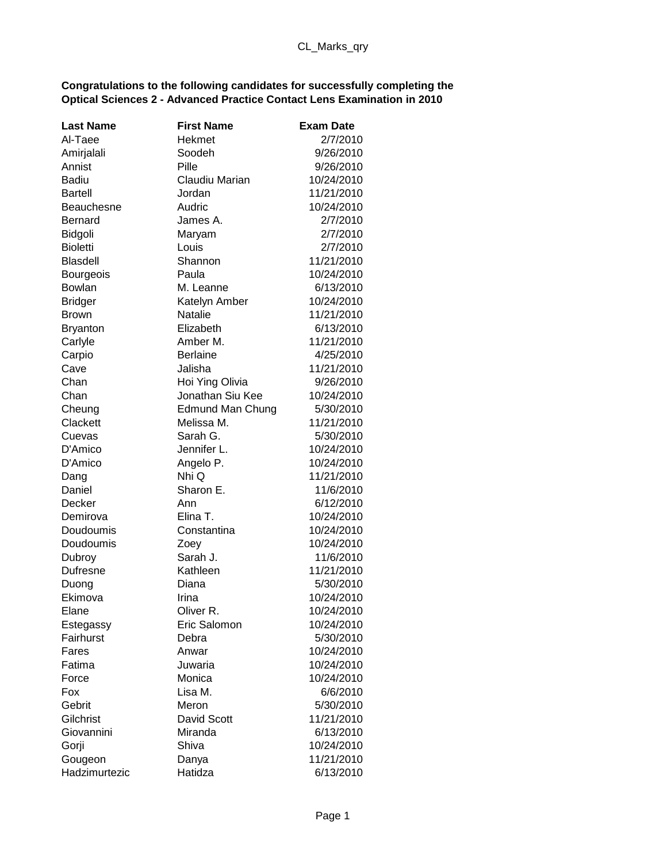## **Congratulations to the following candidates for successfully completing the Optical Sciences 2 - Advanced Practice Contact Lens Examination in 2010**

| <b>Last Name</b> | <b>First Name</b>       | <b>Exam Date</b> |
|------------------|-------------------------|------------------|
| Al-Taee          | Hekmet                  | 2/7/2010         |
| Amirjalali       | Soodeh                  | 9/26/2010        |
| Annist           | Pille                   | 9/26/2010        |
| <b>Badiu</b>     | Claudiu Marian          | 10/24/2010       |
| Bartell          | Jordan                  | 11/21/2010       |
| Beauchesne       | Audric                  | 10/24/2010       |
| Bernard          | James A.                | 2/7/2010         |
| Bidgoli          | Maryam                  | 2/7/2010         |
| <b>Bioletti</b>  | Louis                   | 2/7/2010         |
| <b>Blasdell</b>  | Shannon                 | 11/21/2010       |
| Bourgeois        | Paula                   | 10/24/2010       |
| Bowlan           | M. Leanne               | 6/13/2010        |
| <b>Bridger</b>   | Katelyn Amber           | 10/24/2010       |
| Brown            | Natalie                 | 11/21/2010       |
| <b>Bryanton</b>  | Elizabeth               | 6/13/2010        |
| Carlyle          | Amber M.                | 11/21/2010       |
| Carpio           | <b>Berlaine</b>         | 4/25/2010        |
| Cave             | Jalisha                 | 11/21/2010       |
| Chan             | Hoi Ying Olivia         | 9/26/2010        |
| Chan             | Jonathan Siu Kee        | 10/24/2010       |
| Cheung           | <b>Edmund Man Chung</b> | 5/30/2010        |
| Clackett         | Melissa M.              | 11/21/2010       |
| Cuevas           | Sarah G.                | 5/30/2010        |
| D'Amico          | Jennifer L.             | 10/24/2010       |
| D'Amico          | Angelo P.               | 10/24/2010       |
| Dang             | Nhi Q                   | 11/21/2010       |
| Daniel           | Sharon E.               | 11/6/2010        |
| Decker           | Ann                     | 6/12/2010        |
| Demirova         | Elina T.                | 10/24/2010       |
| Doudoumis        | Constantina             | 10/24/2010       |
| Doudoumis        | Zoey                    | 10/24/2010       |
| Dubroy           | Sarah J.                | 11/6/2010        |
| Dufresne         | Kathleen                | 11/21/2010       |
| Duong            | Diana                   | 5/30/2010        |
| Ekimova          | Irina                   | 10/24/2010       |
| Elane            | Oliver R.               | 10/24/2010       |
| Estegassy        | Eric Salomon            | 10/24/2010       |
| Fairhurst        | Debra                   | 5/30/2010        |
| Fares            | Anwar                   | 10/24/2010       |
| Fatima           | Juwaria                 | 10/24/2010       |
| Force            | Monica                  | 10/24/2010       |
| Fox              | Lisa M.                 | 6/6/2010         |
| Gebrit           | Meron                   | 5/30/2010        |
| Gilchrist        | David Scott             | 11/21/2010       |
| Giovannini       | Miranda                 | 6/13/2010        |
| Gorji            | Shiva                   | 10/24/2010       |
| Gougeon          | Danya                   | 11/21/2010       |
| Hadzimurtezic    | Hatidza                 | 6/13/2010        |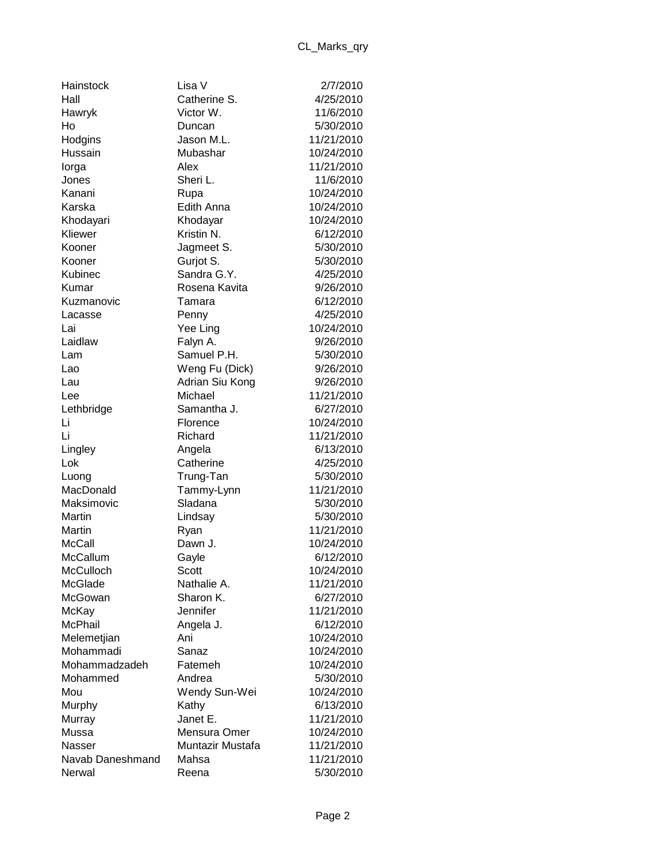| Hainstock        | Lisa V           | 2/7/2010   |
|------------------|------------------|------------|
| Hall             | Catherine S.     | 4/25/2010  |
| Hawryk           | Victor W.        | 11/6/2010  |
| Ho               | Duncan           | 5/30/2010  |
| Hodgins          | Jason M.L.       | 11/21/2010 |
| Hussain          | Mubashar         | 10/24/2010 |
| lorga            | Alex             | 11/21/2010 |
| Jones            | Sheri L.         | 11/6/2010  |
| Kanani           | Rupa             | 10/24/2010 |
| Karska           | Edith Anna       | 10/24/2010 |
| Khodayari        | Khodayar         | 10/24/2010 |
| Kliewer          | Kristin N.       | 6/12/2010  |
| Kooner           | Jagmeet S.       | 5/30/2010  |
| Kooner           | Gurjot S.        | 5/30/2010  |
| Kubinec          | Sandra G.Y.      | 4/25/2010  |
| Kumar            | Rosena Kavita    | 9/26/2010  |
| Kuzmanovic       | Tamara           | 6/12/2010  |
| Lacasse          | Penny            | 4/25/2010  |
| Lai              | Yee Ling         | 10/24/2010 |
| Laidlaw          | Falyn A.         | 9/26/2010  |
| Lam              | Samuel P.H.      | 5/30/2010  |
| Lao              | Weng Fu (Dick)   | 9/26/2010  |
| Lau              | Adrian Siu Kong  | 9/26/2010  |
| Lee              | Michael          | 11/21/2010 |
| Lethbridge       | Samantha J.      | 6/27/2010  |
| Li               | Florence         | 10/24/2010 |
| Li               | Richard          | 11/21/2010 |
| Lingley          | Angela           | 6/13/2010  |
| Lok              | Catherine        | 4/25/2010  |
| Luong            | Trung-Tan        | 5/30/2010  |
| MacDonald        | Tammy-Lynn       | 11/21/2010 |
| Maksimovic       | Sladana          | 5/30/2010  |
| Martin           | Lindsay          | 5/30/2010  |
| Martin           | Ryan             | 11/21/2010 |
| McCall           | Dawn J.          | 10/24/2010 |
| McCallum         | Gayle            | 6/12/2010  |
| McCulloch        | Scott            | 10/24/2010 |
| McGlade          | Nathalie A.      | 11/21/2010 |
| McGowan          | Sharon K.        | 6/27/2010  |
| McKay            | Jennifer         | 11/21/2010 |
| McPhail          | Angela J.        | 6/12/2010  |
| Melemetjian      | Ani              | 10/24/2010 |
| Mohammadi        | Sanaz            | 10/24/2010 |
| Mohammadzadeh    | Fatemeh          | 10/24/2010 |
| Mohammed         | Andrea           | 5/30/2010  |
| Mou              | Wendy Sun-Wei    | 10/24/2010 |
| Murphy           | Kathy            | 6/13/2010  |
| Murray           | Janet E.         | 11/21/2010 |
| Mussa            | Mensura Omer     | 10/24/2010 |
| Nasser           | Muntazir Mustafa | 11/21/2010 |
| Navab Daneshmand | Mahsa            | 11/21/2010 |
| Nerwal           | Reena            | 5/30/2010  |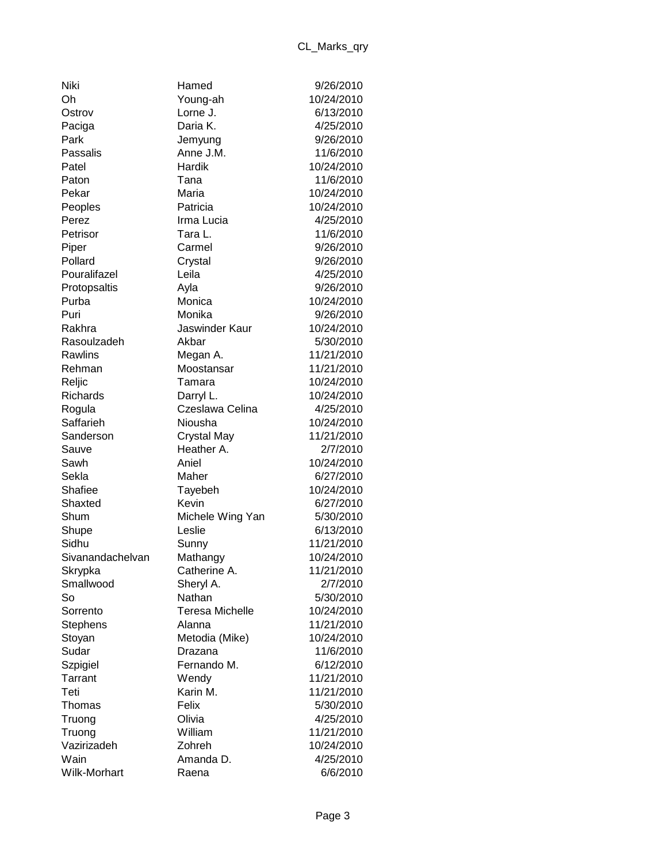| Niki                |
|---------------------|
| Oh                  |
| Ostrov              |
| Paciga              |
| Park                |
| Passalis            |
| Patel               |
| Paton               |
| Pekar               |
| Peoples             |
| Perez               |
| Petrisor            |
| Piper               |
| Pollard             |
| Pouralifazel        |
| Protopsaltis        |
| Purba               |
| Puri                |
| Rakhra              |
| Rasoulzadeh         |
| Rawlins             |
| Rehman              |
| Reljic              |
| Richards            |
|                     |
| Rogula<br>Saffarieh |
|                     |
| Sanderson           |
| Sauve               |
| Sawh                |
| Sekla               |
| Shafiee             |
| Shaxted             |
| Shum                |
| Shupe               |
| Sidhu               |
| Sivanandachelva     |
| Skrypka             |
| Smallwood           |
| So                  |
| Sorrento            |
| <b>Stephens</b>     |
| Stoyan              |
| Sudar               |
| Szpigiel            |
| Tarrant             |
| Teti                |
| Thomas              |
| Truong              |
| Truong              |
| Vazirizadeh         |
| Wain                |
| Wilk-Morhart        |

| Niki             | Hamed                  | 9/26/2010  |
|------------------|------------------------|------------|
| Oh               | Young-ah               | 10/24/2010 |
| Ostrov           | Lorne J.               | 6/13/2010  |
| Paciga           | Daria K.               | 4/25/2010  |
| Park             | Jemyung                | 9/26/2010  |
| Passalis         | Anne J.M.              | 11/6/2010  |
| Patel            | Hardik                 | 10/24/2010 |
| Paton            | Tana                   | 11/6/2010  |
| Pekar            | Maria                  | 10/24/2010 |
| Peoples          | Patricia               | 10/24/2010 |
| Perez            | Irma Lucia             | 4/25/2010  |
| Petrisor         | Tara L.                | 11/6/2010  |
| Piper            | Carmel                 | 9/26/2010  |
| Pollard          | Crystal                | 9/26/2010  |
| Pouralifazel     | Leila                  | 4/25/2010  |
| Protopsaltis     | Ayla                   | 9/26/2010  |
| Purba            | Monica                 | 10/24/2010 |
| Puri             | Monika                 | 9/26/2010  |
| Rakhra           | Jaswinder Kaur         | 10/24/2010 |
| Rasoulzadeh      | Akbar                  | 5/30/2010  |
| Rawlins          | Megan A.               | 11/21/2010 |
| Rehman           | Moostansar             | 11/21/2010 |
| Reljic           | Tamara                 | 10/24/2010 |
| Richards         | Darryl L.              | 10/24/2010 |
| Rogula           | Czeslawa Celina        | 4/25/2010  |
| Saffarieh        | Niousha                | 10/24/2010 |
| Sanderson        | <b>Crystal May</b>     | 11/21/2010 |
| Sauve            | Heather A.             | 2/7/2010   |
| Sawh             | Aniel                  | 10/24/2010 |
| Sekla            | Maher                  | 6/27/2010  |
| Shafiee          | Tayebeh                | 10/24/2010 |
| Shaxted          | Kevin                  | 6/27/2010  |
| Shum             | Michele Wing Yan       | 5/30/2010  |
| Shupe            | Leslie                 | 6/13/2010  |
| Sidhu            | Sunny                  | 11/21/2010 |
| Sivanandachelvan | Mathangy               | 10/24/2010 |
| Skrypka          | Catherine A.           | 11/21/2010 |
| Smallwood        | Sheryl A.              | 2/7/2010   |
| So               | Nathan                 | 5/30/2010  |
| Sorrento         | <b>Teresa Michelle</b> | 10/24/2010 |
| <b>Stephens</b>  | Alanna                 | 11/21/2010 |
| Stoyan           | Metodia (Mike)         | 10/24/2010 |
| Sudar            | Drazana                | 11/6/2010  |
| Szpigiel         | Fernando M.            | 6/12/2010  |
| Tarrant          | Wendy                  | 11/21/2010 |
| Teti             | Karin M.               | 11/21/2010 |
| Thomas           | Felix                  | 5/30/2010  |
| Truong           | Olivia                 | 4/25/2010  |
| Truong           | William                | 11/21/2010 |
| Vazirizadeh      | Zohreh                 | 10/24/2010 |
| Wain             | Amanda D.              | 4/25/2010  |
| Wilk-Morhart     | Raena                  | 6/6/2010   |
|                  |                        |            |